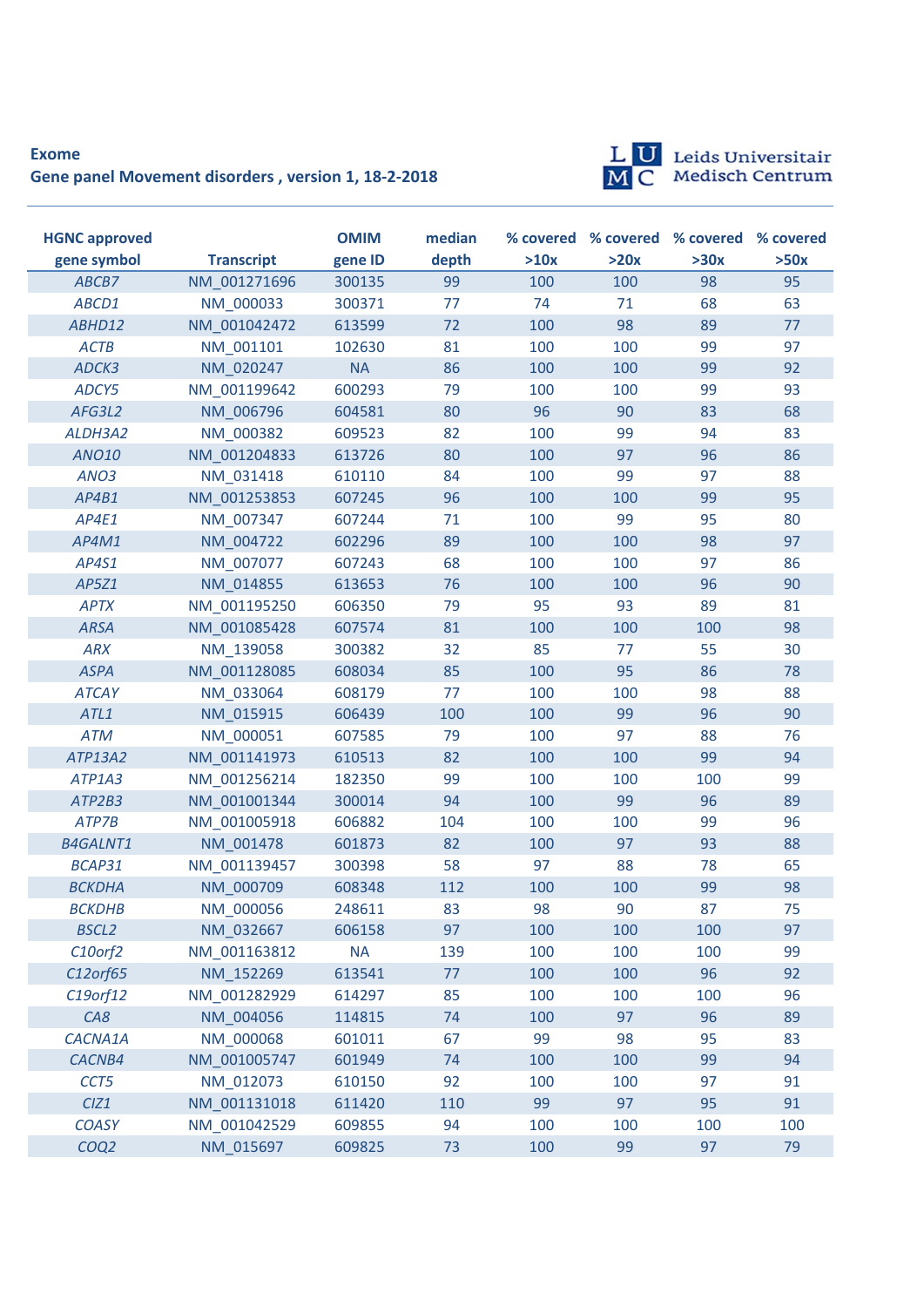## **Exome Gene panel Movement disorders , version 1, 18-2-2018**



L U Leids Universitair<br>M C Medisch Centrum

| <b>HGNC approved</b> |                   | <b>OMIM</b> | median |      |      | % covered % covered % covered % covered |      |
|----------------------|-------------------|-------------|--------|------|------|-----------------------------------------|------|
| gene symbol          | <b>Transcript</b> | gene ID     | depth  | >10x | >20x | >30x                                    | >50x |
| ABCB7                | NM 001271696      | 300135      | 99     | 100  | 100  | 98                                      | 95   |
| ABCD1                | NM 000033         | 300371      | 77     | 74   | 71   | 68                                      | 63   |
| ABHD12               | NM 001042472      | 613599      | 72     | 100  | 98   | 89                                      | 77   |
| <b>ACTB</b>          | NM 001101         | 102630      | 81     | 100  | 100  | 99                                      | 97   |
| ADCK3                | NM 020247         | <b>NA</b>   | 86     | 100  | 100  | 99                                      | 92   |
| ADCY5                | NM 001199642      | 600293      | 79     | 100  | 100  | 99                                      | 93   |
| AFG3L2               | NM 006796         | 604581      | 80     | 96   | 90   | 83                                      | 68   |
| ALDH3A2              | NM 000382         | 609523      | 82     | 100  | 99   | 94                                      | 83   |
| <b>ANO10</b>         | NM 001204833      | 613726      | 80     | 100  | 97   | 96                                      | 86   |
| ANO <sub>3</sub>     | NM 031418         | 610110      | 84     | 100  | 99   | 97                                      | 88   |
| AP4B1                | NM 001253853      | 607245      | 96     | 100  | 100  | 99                                      | 95   |
| AP4E1                | NM 007347         | 607244      | 71     | 100  | 99   | 95                                      | 80   |
| AP4M1                | NM 004722         | 602296      | 89     | 100  | 100  | 98                                      | 97   |
| AP4S1                | NM 007077         | 607243      | 68     | 100  | 100  | 97                                      | 86   |
| AP5Z1                | NM 014855         | 613653      | 76     | 100  | 100  | 96                                      | 90   |
| <b>APTX</b>          | NM 001195250      | 606350      | 79     | 95   | 93   | 89                                      | 81   |
| <b>ARSA</b>          | NM 001085428      | 607574      | 81     | 100  | 100  | 100                                     | 98   |
| <b>ARX</b>           | NM 139058         | 300382      | 32     | 85   | 77   | 55                                      | 30   |
| <b>ASPA</b>          | NM 001128085      | 608034      | 85     | 100  | 95   | 86                                      | 78   |
| <b>ATCAY</b>         | NM 033064         | 608179      | 77     | 100  | 100  | 98                                      | 88   |
| ATL1                 | NM 015915         | 606439      | 100    | 100  | 99   | 96                                      | 90   |
| <b>ATM</b>           | NM 000051         | 607585      | 79     | 100  | 97   | 88                                      | 76   |
| <b>ATP13A2</b>       | NM 001141973      | 610513      | 82     | 100  | 100  | 99                                      | 94   |
| ATP1A3               | NM 001256214      | 182350      | 99     | 100  | 100  | 100                                     | 99   |
| ATP2B3               | NM 001001344      | 300014      | 94     | 100  | 99   | 96                                      | 89   |
| ATP7B                | NM 001005918      | 606882      | 104    | 100  | 100  | 99                                      | 96   |
| <b>B4GALNT1</b>      | NM 001478         | 601873      | 82     | 100  | 97   | 93                                      | 88   |
| BCAP31               | NM 001139457      | 300398      | 58     | 97   | 88   | 78                                      | 65   |
| <b>BCKDHA</b>        | NM 000709         | 608348      | 112    | 100  | 100  | 99                                      | 98   |
| <b>BCKDHB</b>        | NM 000056         | 248611      | 83     | 98   | 90   | 87                                      | 75   |
| BSCL <sub>2</sub>    | NM_032667         | 606158      | 97     | 100  | 100  | 100                                     | 97   |
| C10orf2              | NM_001163812      | <b>NA</b>   | 139    | 100  | 100  | 100                                     | 99   |
| C12orf65             | NM 152269         | 613541      | 77     | 100  | 100  | 96                                      | 92   |
| $C19$ orf $12$       | NM_001282929      | 614297      | 85     | 100  | 100  | 100                                     | 96   |
| CAS                  | NM 004056         | 114815      | 74     | 100  | 97   | 96                                      | 89   |
| CACNA1A              | NM_000068         | 601011      | 67     | 99   | 98   | 95                                      | 83   |
| CACNB4               | NM 001005747      | 601949      | 74     | 100  | 100  | 99                                      | 94   |
| CCT5                 | NM_012073         | 610150      | 92     | 100  | 100  | 97                                      | 91   |
| CIZ1                 | NM_001131018      | 611420      | 110    | 99   | 97   | 95                                      | 91   |
| COASY                | NM 001042529      | 609855      | 94     | 100  | 100  | 100                                     | 100  |
| COQ2                 | NM_015697         | 609825      | 73     | 100  | 99   | 97                                      | 79   |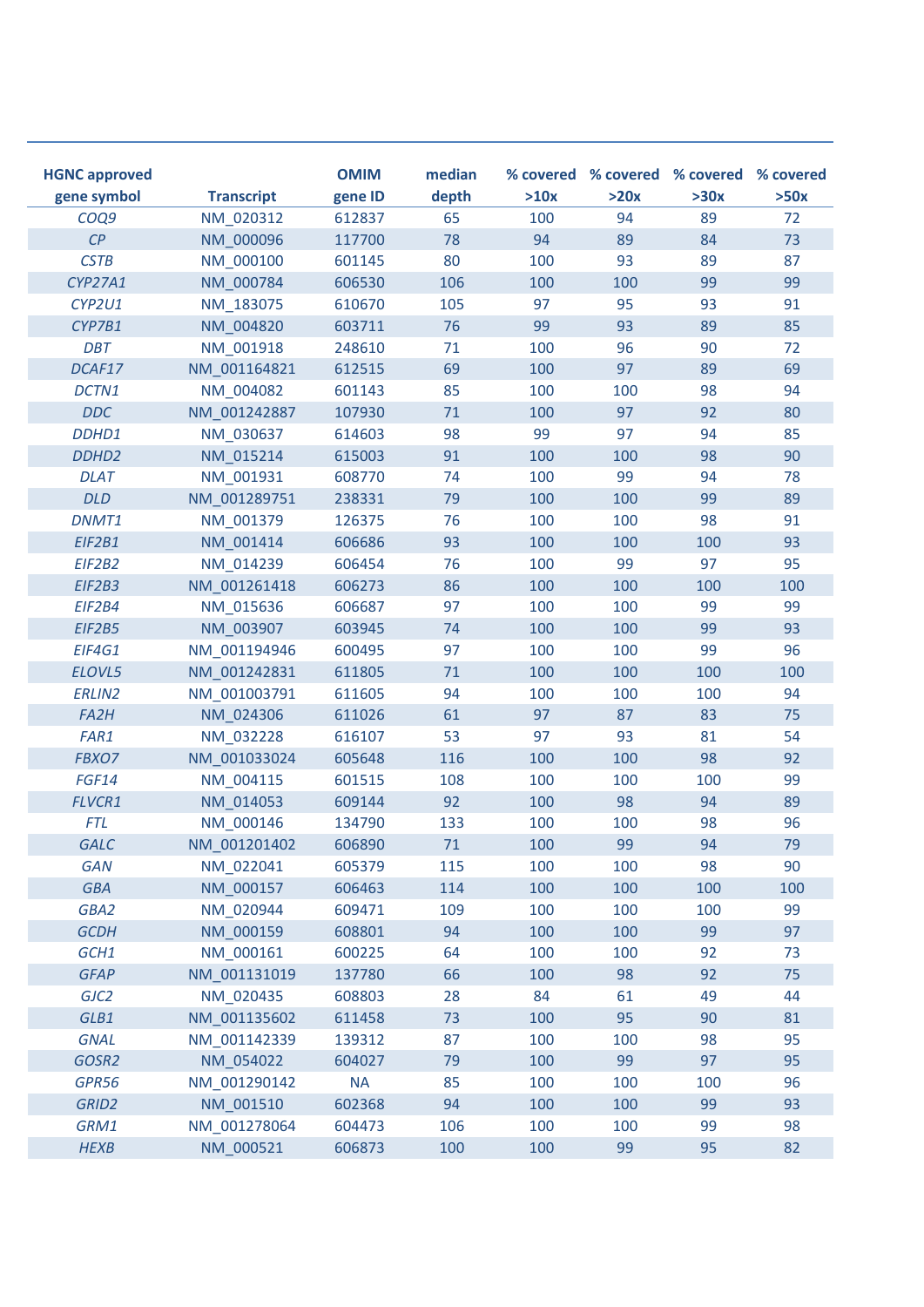| <b>HGNC approved</b> |                   | <b>OMIM</b> | median |      |      | % covered % covered % covered % covered |      |
|----------------------|-------------------|-------------|--------|------|------|-----------------------------------------|------|
| gene symbol          | <b>Transcript</b> | gene ID     | depth  | >10x | >20x | >30x                                    | >50x |
| COQ9                 | NM 020312         | 612837      | 65     | 100  | 94   | 89                                      | 72   |
| $\mathcal{C}P$       | NM 000096         | 117700      | 78     | 94   | 89   | 84                                      | 73   |
| <b>CSTB</b>          | NM 000100         | 601145      | 80     | 100  | 93   | 89                                      | 87   |
| <b>CYP27A1</b>       | NM 000784         | 606530      | 106    | 100  | 100  | 99                                      | 99   |
| CYP2U1               | NM 183075         | 610670      | 105    | 97   | 95   | 93                                      | 91   |
| CYP7B1               | NM 004820         | 603711      | 76     | 99   | 93   | 89                                      | 85   |
| <b>DBT</b>           | NM 001918         | 248610      | 71     | 100  | 96   | 90                                      | 72   |
| DCAF17               | NM 001164821      | 612515      | 69     | 100  | 97   | 89                                      | 69   |
| DCTN1                | NM 004082         | 601143      | 85     | 100  | 100  | 98                                      | 94   |
| <b>DDC</b>           | NM 001242887      | 107930      | 71     | 100  | 97   | 92                                      | 80   |
| DDHD1                | NM 030637         | 614603      | 98     | 99   | 97   | 94                                      | 85   |
| DDHD <sub>2</sub>    | NM 015214         | 615003      | 91     | 100  | 100  | 98                                      | 90   |
| <b>DLAT</b>          | NM 001931         | 608770      | 74     | 100  | 99   | 94                                      | 78   |
| <b>DLD</b>           | NM 001289751      | 238331      | 79     | 100  | 100  | 99                                      | 89   |
| DNMT1                | NM_001379         | 126375      | 76     | 100  | 100  | 98                                      | 91   |
| EIF2B1               | NM 001414         | 606686      | 93     | 100  | 100  | 100                                     | 93   |
| EIF2B2               | NM 014239         | 606454      | 76     | 100  | 99   | 97                                      | 95   |
| EIF2B3               | NM 001261418      | 606273      | 86     | 100  | 100  | 100                                     | 100  |
| EIF2B4               | NM 015636         | 606687      | 97     | 100  | 100  | 99                                      | 99   |
| EIF2B5               | NM 003907         | 603945      | 74     | 100  | 100  | 99                                      | 93   |
| EIF4G1               | NM 001194946      | 600495      | 97     | 100  | 100  | 99                                      | 96   |
| ELOVL5               | NM 001242831      | 611805      | 71     | 100  | 100  | 100                                     | 100  |
| <b>ERLIN2</b>        | NM 001003791      | 611605      | 94     | 100  | 100  | 100                                     | 94   |
| FA <sub>2</sub> H    | NM 024306         | 611026      | 61     | 97   | 87   | 83                                      | 75   |
| FAR1                 | NM 032228         | 616107      | 53     | 97   | 93   | 81                                      | 54   |
| FBXO7                | NM 001033024      | 605648      | 116    | 100  | 100  | 98                                      | 92   |
| FGF14                | NM 004115         | 601515      | 108    | 100  | 100  | 100                                     | 99   |
| <b>FLVCR1</b>        | NM 014053         | 609144      | 92     | 100  | 98   | 94                                      | 89   |
| <b>FTL</b>           | NM 000146         | 134790      | 133    | 100  | 100  | 98                                      | 96   |
| <b>GALC</b>          | NM 001201402      | 606890      | 71     | 100  | 99   | 94                                      | 79   |
| <b>GAN</b>           | NM_022041         | 605379      | 115    | 100  | 100  | 98                                      | 90   |
| GBA                  | NM 000157         | 606463      | 114    | 100  | 100  | 100                                     | 100  |
| GBA2                 | NM 020944         | 609471      | 109    | 100  | 100  | 100                                     | 99   |
| <b>GCDH</b>          | NM_000159         | 608801      | 94     | 100  | 100  | 99                                      | 97   |
| GCH1                 | NM 000161         | 600225      | 64     | 100  | 100  | 92                                      | 73   |
| <b>GFAP</b>          | NM_001131019      | 137780      | 66     | 100  | 98   | 92                                      | 75   |
| GJC2                 | NM_020435         | 608803      | 28     | 84   | 61   | 49                                      | 44   |
| GLB1                 | NM 001135602      | 611458      | 73     | 100  | 95   | 90                                      | 81   |
| <b>GNAL</b>          | NM 001142339      | 139312      | 87     | 100  | 100  | 98                                      | 95   |
| GOSR2                | NM_054022         | 604027      | 79     | 100  | 99   | 97                                      | 95   |
| GPR56                | NM_001290142      | <b>NA</b>   | 85     | 100  | 100  | 100                                     | 96   |
| GRID <sub>2</sub>    | NM_001510         | 602368      | 94     | 100  | 100  | 99                                      | 93   |
| GRM1                 | NM_001278064      | 604473      | 106    | 100  | 100  | 99                                      | 98   |
| <b>HEXB</b>          | NM 000521         | 606873      | 100    | 100  | 99   | 95                                      | 82   |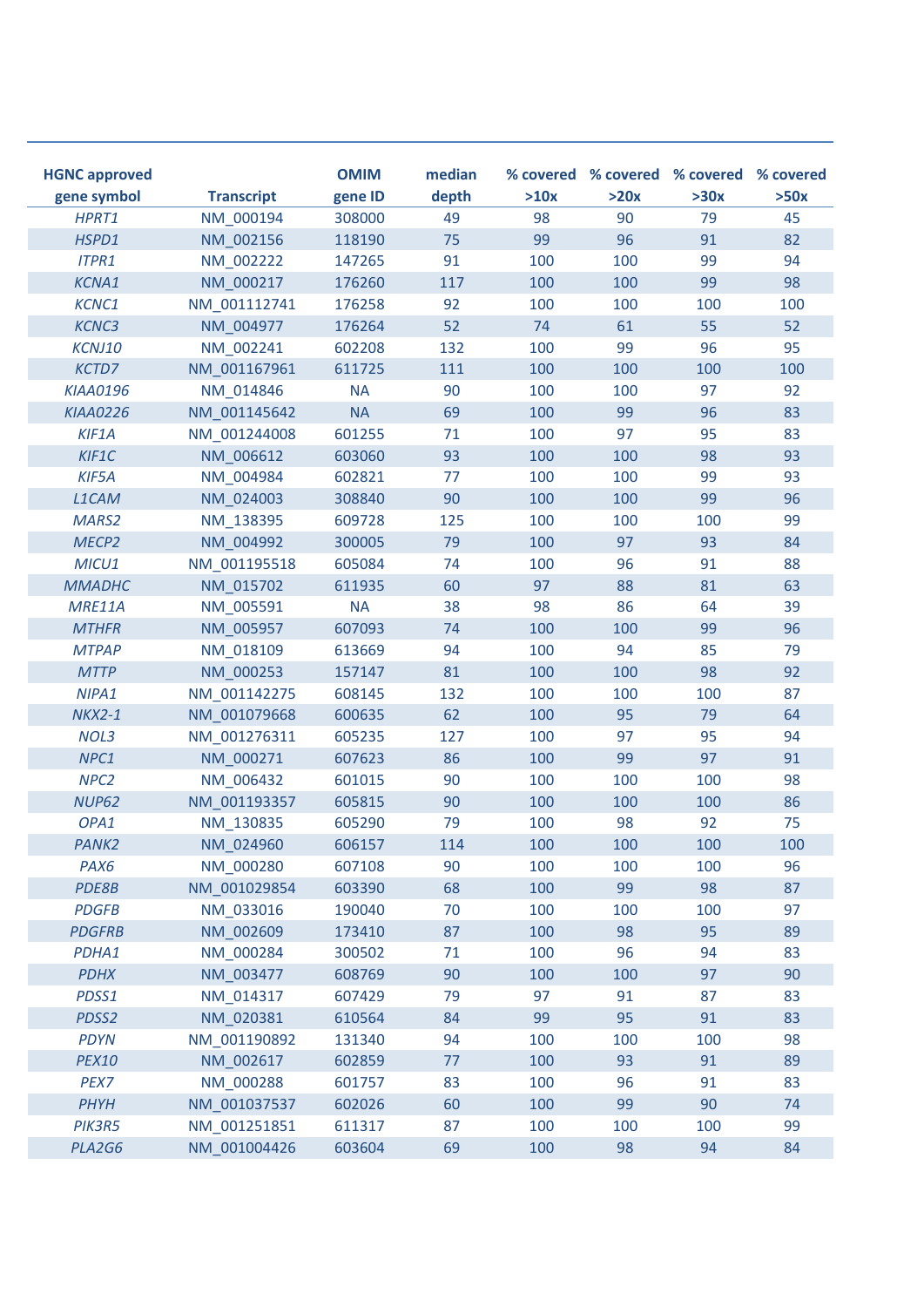| <b>HGNC approved</b> |                   | <b>OMIM</b> | median |      |      | % covered % covered % covered % covered |      |
|----------------------|-------------------|-------------|--------|------|------|-----------------------------------------|------|
| gene symbol          | <b>Transcript</b> | gene ID     | depth  | >10x | >20x | >30x                                    | >50x |
| HPRT1                | NM 000194         | 308000      | 49     | 98   | 90   | 79                                      | 45   |
| HSPD1                | NM 002156         | 118190      | 75     | 99   | 96   | 91                                      | 82   |
| <b>ITPR1</b>         | NM 002222         | 147265      | 91     | 100  | 100  | 99                                      | 94   |
| <b>KCNA1</b>         | NM 000217         | 176260      | 117    | 100  | 100  | 99                                      | 98   |
| <b>KCNC1</b>         | NM 001112741      | 176258      | 92     | 100  | 100  | 100                                     | 100  |
| KCNC3                | NM 004977         | 176264      | 52     | 74   | 61   | 55                                      | 52   |
| KCNJ10               | NM 002241         | 602208      | 132    | 100  | 99   | 96                                      | 95   |
| KCTD7                | NM 001167961      | 611725      | 111    | 100  | 100  | 100                                     | 100  |
| <b>KIAA0196</b>      | NM 014846         | <b>NA</b>   | 90     | 100  | 100  | 97                                      | 92   |
| <b>KIAA0226</b>      | NM 001145642      | <b>NA</b>   | 69     | 100  | 99   | 96                                      | 83   |
| KIF1A                | NM 001244008      | 601255      | 71     | 100  | 97   | 95                                      | 83   |
| KIF1C                | NM 006612         | 603060      | 93     | 100  | 100  | 98                                      | 93   |
| KIF5A                | NM 004984         | 602821      | 77     | 100  | 100  | 99                                      | 93   |
| L1CAM                | NM 024003         | 308840      | 90     | 100  | 100  | 99                                      | 96   |
| MARS2                | NM 138395         | 609728      | 125    | 100  | 100  | 100                                     | 99   |
| MECP <sub>2</sub>    | NM 004992         | 300005      | 79     | 100  | 97   | 93                                      | 84   |
| MICU1                | NM 001195518      | 605084      | 74     | 100  | 96   | 91                                      | 88   |
| <b>MMADHC</b>        | NM 015702         | 611935      | 60     | 97   | 88   | 81                                      | 63   |
| MRE11A               | NM 005591         | <b>NA</b>   | 38     | 98   | 86   | 64                                      | 39   |
| <b>MTHFR</b>         | NM 005957         | 607093      | 74     | 100  | 100  | 99                                      | 96   |
| <b>MTPAP</b>         | NM 018109         | 613669      | 94     | 100  | 94   | 85                                      | 79   |
| <b>MTTP</b>          | NM 000253         | 157147      | 81     | 100  | 100  | 98                                      | 92   |
| NIPA1                | NM 001142275      | 608145      | 132    | 100  | 100  | 100                                     | 87   |
| <b>NKX2-1</b>        | NM 001079668      | 600635      | 62     | 100  | 95   | 79                                      | 64   |
| NOL3                 | NM 001276311      | 605235      | 127    | 100  | 97   | 95                                      | 94   |
| NPC1                 | NM 000271         | 607623      | 86     | 100  | 99   | 97                                      | 91   |
| NPC <sub>2</sub>     | NM_006432         | 601015      | 90     | 100  | 100  | 100                                     | 98   |
| <b>NUP62</b>         | NM_001193357      | 605815      | 90     | 100  | 100  | 100                                     | 86   |
| OPA1                 | NM 130835         | 605290      | 79     | 100  | 98   | 92                                      | 75   |
| PANK2                | NM 024960         | 606157      | 114    | 100  | 100  | 100                                     | 100  |
| PAX6                 | NM_000280         | 607108      | 90     | 100  | 100  | 100                                     | 96   |
| PDE8B                | NM 001029854      | 603390      | 68     | 100  | 99   | 98                                      | 87   |
| <b>PDGFB</b>         | NM_033016         | 190040      | 70     | 100  | 100  | 100                                     | 97   |
| <b>PDGFRB</b>        | NM_002609         | 173410      | 87     | 100  | 98   | 95                                      | 89   |
| PDHA1                | NM_000284         | 300502      | 71     | 100  | 96   | 94                                      | 83   |
| <b>PDHX</b>          | NM_003477         | 608769      | 90     | 100  | 100  | 97                                      | 90   |
| PDSS1                | NM_014317         | 607429      | 79     | 97   | 91   | 87                                      | 83   |
| PDSS2                | NM_020381         | 610564      | 84     | 99   | 95   | 91                                      | 83   |
| <b>PDYN</b>          | NM 001190892      | 131340      | 94     | 100  | 100  | 100                                     | 98   |
| <b>PEX10</b>         | NM_002617         | 602859      | 77     | 100  | 93   | 91                                      | 89   |
| PEX7                 | NM_000288         | 601757      | 83     | 100  | 96   | 91                                      | 83   |
| PHYH                 | NM_001037537      | 602026      | 60     | 100  | 99   | 90                                      | 74   |
| PIK3R5               | NM_001251851      | 611317      | 87     | 100  | 100  | 100                                     | 99   |
| PLA2G6               | NM_001004426      | 603604      | 69     | 100  | 98   | 94                                      | 84   |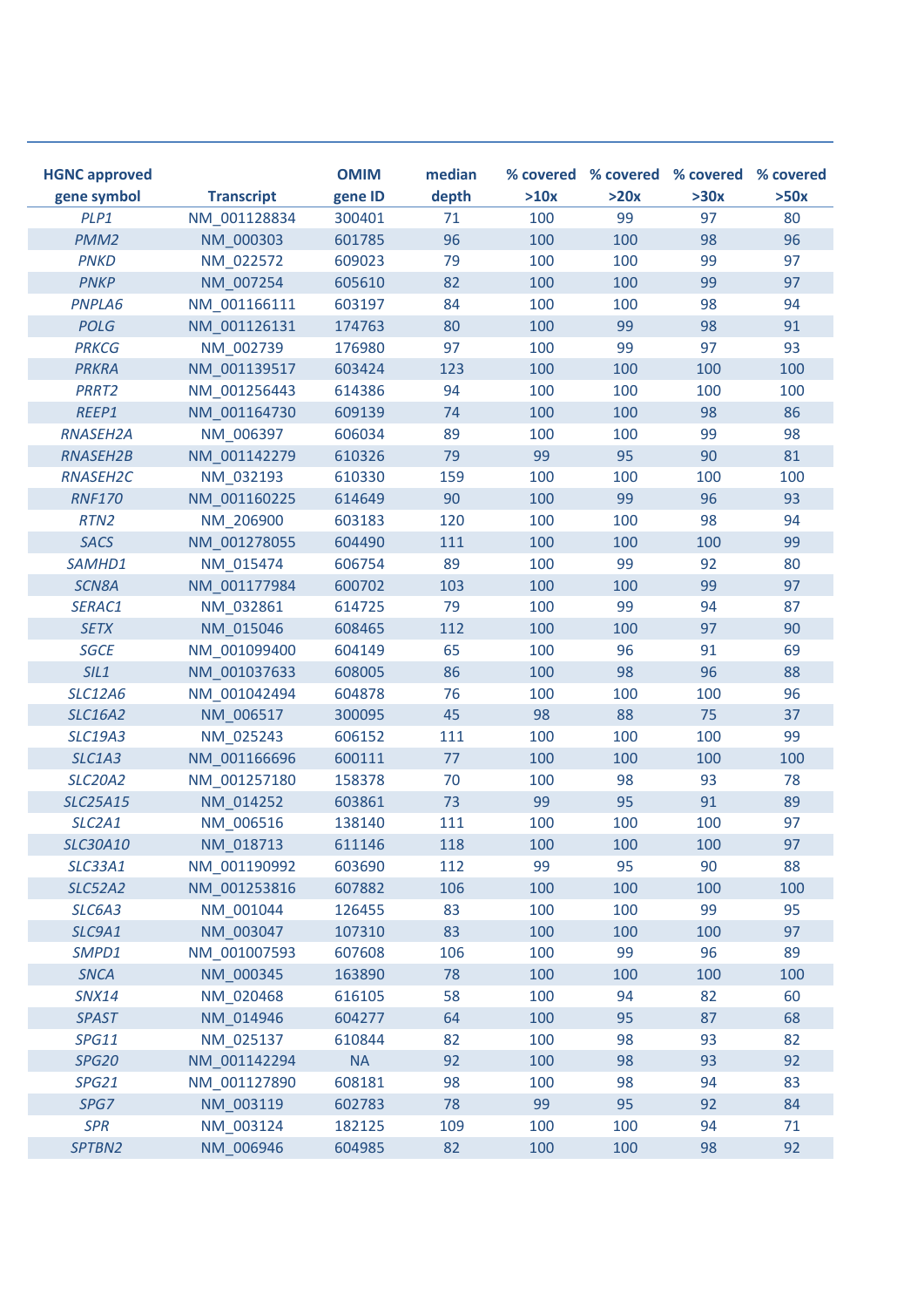| <b>HGNC approved</b><br>gene symbol | <b>Transcript</b> | <b>OMIM</b><br>gene ID | median<br>depth | >10x | >20x | % covered % covered % covered % covered<br>>30x | >50x |
|-------------------------------------|-------------------|------------------------|-----------------|------|------|-------------------------------------------------|------|
| PLP1                                | NM 001128834      | 300401                 | 71              | 100  | 99   | 97                                              | 80   |
| PMM <sub>2</sub>                    | NM 000303         | 601785                 | 96              | 100  | 100  | 98                                              | 96   |
| <b>PNKD</b>                         | NM 022572         | 609023                 | 79              | 100  | 100  | 99                                              | 97   |
| <b>PNKP</b>                         | NM 007254         | 605610                 | 82              | 100  | 100  | 99                                              | 97   |
| PNPLA6                              | NM 001166111      | 603197                 | 84              | 100  | 100  | 98                                              | 94   |
| <b>POLG</b>                         | NM 001126131      | 174763                 | 80              | 100  | 99   | 98                                              | 91   |
| <b>PRKCG</b>                        | NM 002739         | 176980                 | 97              | 100  | 99   | 97                                              | 93   |
| <b>PRKRA</b>                        | NM 001139517      | 603424                 | 123             | 100  | 100  | 100                                             | 100  |
| PRRT <sub>2</sub>                   | NM 001256443      | 614386                 | 94              | 100  | 100  | 100                                             | 100  |
| REEP1                               | NM 001164730      | 609139                 | 74              | 100  | 100  | 98                                              | 86   |
| <b>RNASEH2A</b>                     | NM 006397         | 606034                 | 89              | 100  | 100  | 99                                              | 98   |
| <b>RNASEH2B</b>                     | NM 001142279      | 610326                 | 79              | 99   | 95   | 90                                              | 81   |
| <b>RNASEH2C</b>                     | NM 032193         | 610330                 | 159             | 100  | 100  | 100                                             | 100  |
| <b>RNF170</b>                       | NM 001160225      | 614649                 | 90              | 100  | 99   | 96                                              | 93   |
| RTN <sub>2</sub>                    | NM 206900         | 603183                 | 120             | 100  | 100  | 98                                              | 94   |
| <b>SACS</b>                         | NM 001278055      | 604490                 | 111             | 100  | 100  | 100                                             | 99   |
| SAMHD1                              | NM 015474         | 606754                 | 89              | 100  | 99   | 92                                              | 80   |
| SCN8A                               | NM 001177984      | 600702                 | 103             | 100  | 100  | 99                                              | 97   |
| SERAC1                              | NM 032861         | 614725                 | 79              | 100  | 99   | 94                                              | 87   |
| <b>SETX</b>                         | NM 015046         | 608465                 | 112             | 100  | 100  | 97                                              | 90   |
| <b>SGCE</b>                         | NM 001099400      | 604149                 | 65              | 100  | 96   | 91                                              | 69   |
| SIL1                                | NM 001037633      | 608005                 | 86              | 100  | 98   | 96                                              | 88   |
| <b>SLC12A6</b>                      | NM 001042494      | 604878                 | 76              | 100  | 100  | 100                                             | 96   |
| <b>SLC16A2</b>                      | NM 006517         | 300095                 | 45              | 98   | 88   | 75                                              | 37   |
| <b>SLC19A3</b>                      | NM 025243         | 606152                 | 111             | 100  | 100  | 100                                             | 99   |
| SLC1A3                              | NM 001166696      | 600111                 | 77              | 100  | 100  | 100                                             | 100  |
| <b>SLC20A2</b>                      | NM 001257180      | 158378                 | 70              | 100  | 98   | 93                                              | 78   |
| <b>SLC25A15</b>                     | NM_014252         | 603861                 | 73              | 99   | 95   | 91                                              | 89   |
| SLC2A1                              | NM 006516         | 138140                 | 111             | 100  | 100  | 100                                             | 97   |
| <b>SLC30A10</b>                     | NM 018713         | 611146                 | 118             | 100  | 100  | 100                                             | 97   |
| <b>SLC33A1</b>                      | NM_001190992      | 603690                 | 112             | 99   | 95   | 90                                              | 88   |
| <b>SLC52A2</b>                      | NM 001253816      | 607882                 | 106             | 100  | 100  | 100                                             | 100  |
| SLC6A3                              | NM_001044         | 126455                 | 83              | 100  | 100  | 99                                              | 95   |
| SLC9A1                              | NM_003047         | 107310                 | 83              | 100  | 100  | 100                                             | 97   |
| SMPD1                               | NM_001007593      | 607608                 | 106             | 100  | 99   | 96                                              | 89   |
| <b>SNCA</b>                         | NM_000345         | 163890                 | 78              | 100  | 100  | 100                                             | 100  |
| <b>SNX14</b>                        | NM 020468         | 616105                 | 58              | 100  | 94   | 82                                              | 60   |
| <b>SPAST</b>                        | NM_014946         | 604277                 | 64              | 100  | 95   | 87                                              | 68   |
| SPG11                               | NM_025137         | 610844                 | 82              | 100  | 98   | 93                                              | 82   |
| SPG <sub>20</sub>                   | NM_001142294      | NA                     | 92              | 100  | 98   | 93                                              | 92   |
| <b>SPG21</b>                        | NM_001127890      | 608181                 | 98              | 100  | 98   | 94                                              | 83   |
| SPG7                                | NM_003119         | 602783                 | 78              | 99   | 95   | 92                                              | 84   |
| <b>SPR</b>                          | NM_003124         | 182125                 | 109             | 100  | 100  | 94                                              | 71   |
| SPTBN2                              | NM_006946         | 604985                 | 82              | 100  | 100  | 98                                              | 92   |